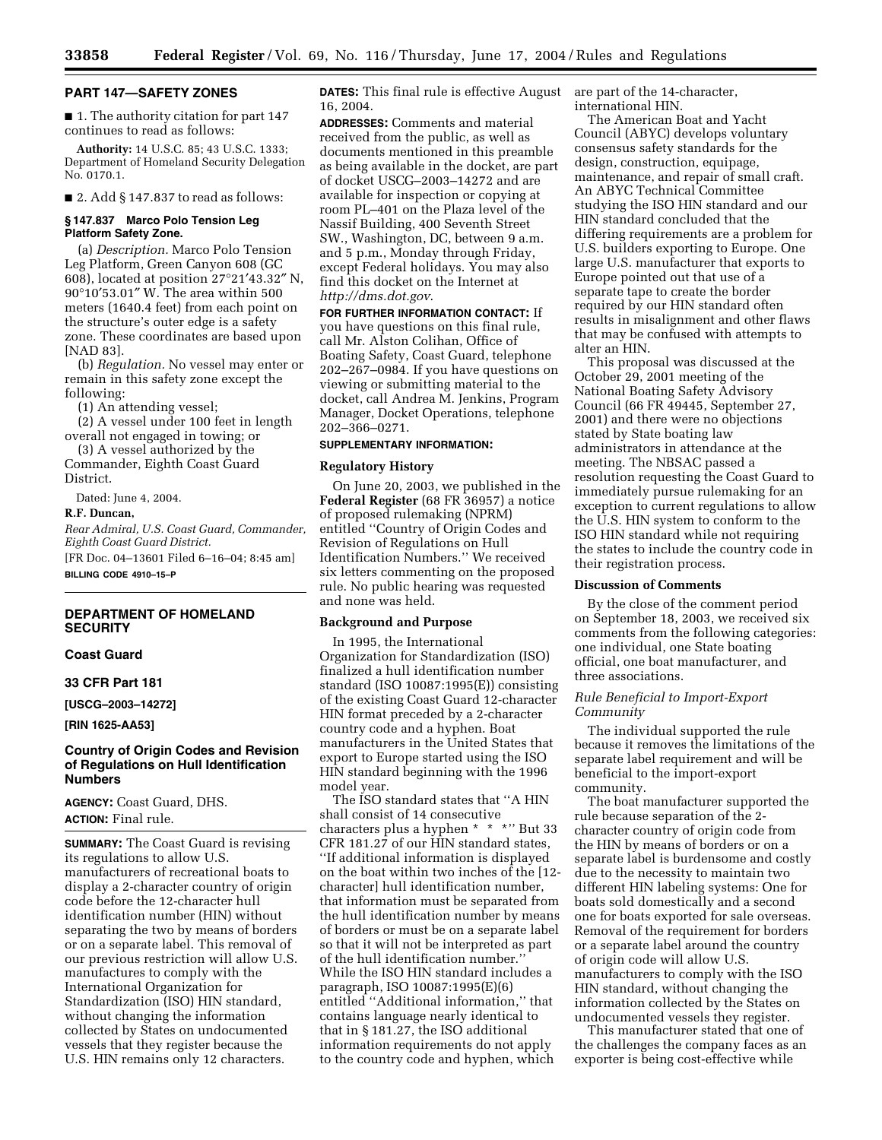#### **PART 147—SAFETY ZONES**

■ 1. The authority citation for part 147 continues to read as follows:

**Authority:** 14 U.S.C. 85; 43 U.S.C. 1333; Department of Homeland Security Delegation No. 0170.1.

 $\blacksquare$  2. Add § 147.837 to read as follows:

# **§ 147.837 Marco Polo Tension Leg Platform Safety Zone.**

(a) *Description.* Marco Polo Tension Leg Platform, Green Canyon 608 (GC 608), located at position 27°21′43.32″ N, 90°10′53.01″ W. The area within 500 meters (1640.4 feet) from each point on the structure's outer edge is a safety zone. These coordinates are based upon [NAD 83].

(b) *Regulation.* No vessel may enter or remain in this safety zone except the following:

(1) An attending vessel;

(2) A vessel under 100 feet in length overall not engaged in towing; or

(3) A vessel authorized by the Commander, Eighth Coast Guard District.

Dated: June 4, 2004.

## **R.F. Duncan,**

*Rear Admiral, U.S. Coast Guard, Commander, Eighth Coast Guard District.*

[FR Doc. 04–13601 Filed 6–16–04; 8:45 am] **BILLING CODE 4910–15–P**

#### **DEPARTMENT OF HOMELAND SECURITY**

#### **Coast Guard**

## **33 CFR Part 181**

**[USCG–2003–14272]** 

**[RIN 1625-AA53]** 

# **Country of Origin Codes and Revision of Regulations on Hull Identification Numbers**

**AGENCY:** Coast Guard, DHS. **ACTION:** Final rule.

**SUMMARY:** The Coast Guard is revising its regulations to allow U.S. manufacturers of recreational boats to display a 2-character country of origin code before the 12-character hull identification number (HIN) without separating the two by means of borders or on a separate label. This removal of our previous restriction will allow U.S. manufactures to comply with the International Organization for Standardization (ISO) HIN standard, without changing the information collected by States on undocumented vessels that they register because the U.S. HIN remains only 12 characters.

**DATES:** This final rule is effective August 16, 2004.

**ADDRESSES:** Comments and material received from the public, as well as documents mentioned in this preamble as being available in the docket, are part of docket USCG–2003–14272 and are available for inspection or copying at room PL–401 on the Plaza level of the Nassif Building, 400 Seventh Street SW., Washington, DC, between 9 a.m. and 5 p.m., Monday through Friday, except Federal holidays. You may also find this docket on the Internet at *<http://dms.dot.gov>*.

**FOR FURTHER INFORMATION CONTACT:** If you have questions on this final rule, call Mr. Alston Colihan, Office of Boating Safety, Coast Guard, telephone 202–267–0984. If you have questions on viewing or submitting material to the docket, call Andrea M. Jenkins, Program Manager, Docket Operations, telephone 202–366–0271.

# **SUPPLEMENTARY INFORMATION:**

## **Regulatory History**

On June 20, 2003, we published in the **Federal Register** (68 FR 36957) a notice of proposed rulemaking (NPRM) entitled ''Country of Origin Codes and Revision of Regulations on Hull Identification Numbers.'' We received six letters commenting on the proposed rule. No public hearing was requested and none was held.

#### **Background and Purpose**

In 1995, the International Organization for Standardization (ISO) finalized a hull identification number standard (ISO 10087:1995(E)) consisting of the existing Coast Guard 12-character HIN format preceded by a 2-character country code and a hyphen. Boat manufacturers in the United States that export to Europe started using the ISO HIN standard beginning with the 1996 model year.

The ISO standard states that ''A HIN shall consist of 14 consecutive characters plus a hyphen \* \* \*'' But 33 CFR 181.27 of our HIN standard states, ''If additional information is displayed on the boat within two inches of the [12 character] hull identification number, that information must be separated from the hull identification number by means of borders or must be on a separate label so that it will not be interpreted as part of the hull identification number.'' While the ISO HIN standard includes a paragraph, ISO 10087:1995(E)(6) entitled ''Additional information,'' that contains language nearly identical to that in § 181.27, the ISO additional information requirements do not apply to the country code and hyphen, which

are part of the 14-character, international HIN.

The American Boat and Yacht Council (ABYC) develops voluntary consensus safety standards for the design, construction, equipage, maintenance, and repair of small craft. An ABYC Technical Committee studying the ISO HIN standard and our HIN standard concluded that the differing requirements are a problem for U.S. builders exporting to Europe. One large U.S. manufacturer that exports to Europe pointed out that use of a separate tape to create the border required by our HIN standard often results in misalignment and other flaws that may be confused with attempts to alter an HIN.

This proposal was discussed at the October 29, 2001 meeting of the National Boating Safety Advisory Council (66 FR 49445, September 27, 2001) and there were no objections stated by State boating law administrators in attendance at the meeting. The NBSAC passed a resolution requesting the Coast Guard to immediately pursue rulemaking for an exception to current regulations to allow the U.S. HIN system to conform to the ISO HIN standard while not requiring the states to include the country code in their registration process.

## **Discussion of Comments**

By the close of the comment period on September 18, 2003, we received six comments from the following categories: one individual, one State boating official, one boat manufacturer, and three associations.

## *Rule Beneficial to Import-Export Community*

The individual supported the rule because it removes the limitations of the separate label requirement and will be beneficial to the import-export community.

The boat manufacturer supported the rule because separation of the 2 character country of origin code from the HIN by means of borders or on a separate label is burdensome and costly due to the necessity to maintain two different HIN labeling systems: One for boats sold domestically and a second one for boats exported for sale overseas. Removal of the requirement for borders or a separate label around the country of origin code will allow U.S. manufacturers to comply with the ISO HIN standard, without changing the information collected by the States on undocumented vessels they register.

This manufacturer stated that one of the challenges the company faces as an exporter is being cost-effective while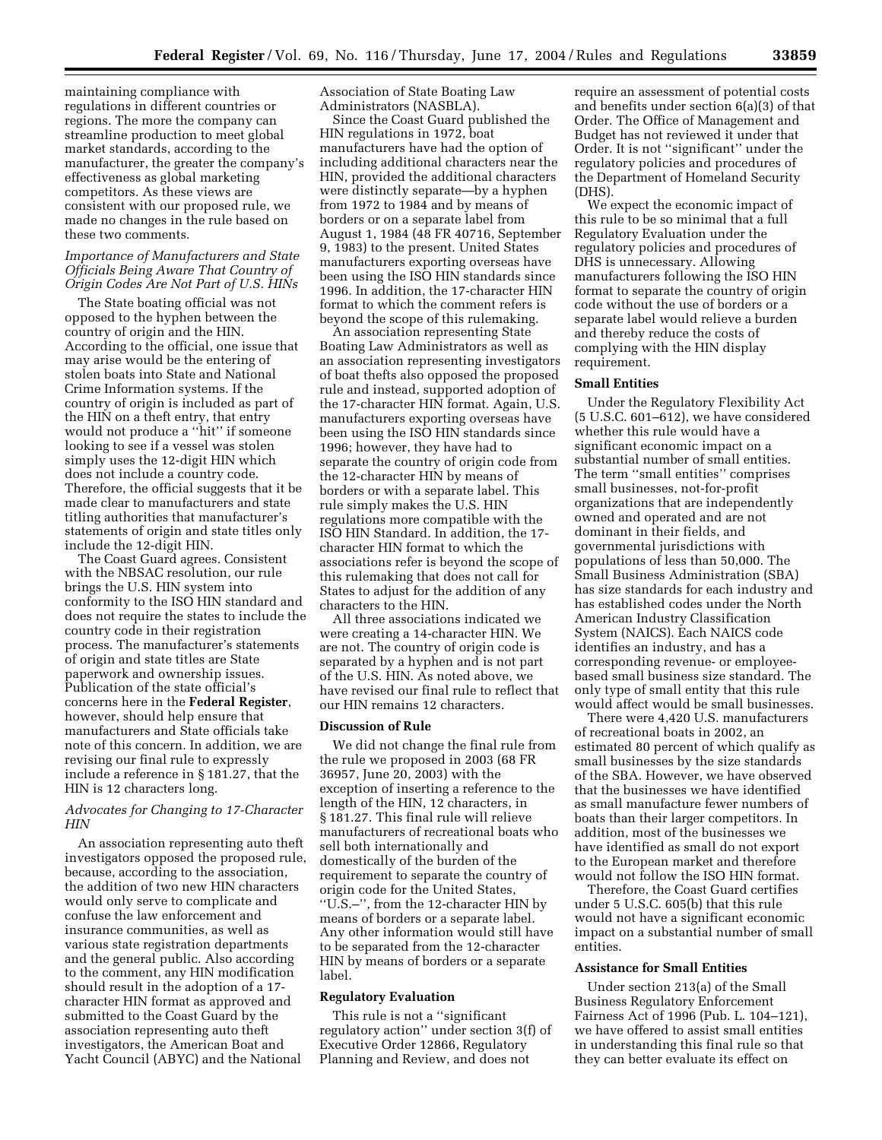maintaining compliance with regulations in different countries or regions. The more the company can streamline production to meet global market standards, according to the manufacturer, the greater the company's effectiveness as global marketing competitors. As these views are consistent with our proposed rule, we made no changes in the rule based on these two comments.

## *Importance of Manufacturers and State Officials Being Aware That Country of Origin Codes Are Not Part of U.S. HINs*

The State boating official was not opposed to the hyphen between the country of origin and the HIN. According to the official, one issue that may arise would be the entering of stolen boats into State and National Crime Information systems. If the country of origin is included as part of the HIN on a theft entry, that entry would not produce a ''hit'' if someone looking to see if a vessel was stolen simply uses the 12-digit HIN which does not include a country code. Therefore, the official suggests that it be made clear to manufacturers and state titling authorities that manufacturer's statements of origin and state titles only include the 12-digit HIN.

The Coast Guard agrees. Consistent with the NBSAC resolution, our rule brings the U.S. HIN system into conformity to the ISO HIN standard and does not require the states to include the country code in their registration process. The manufacturer's statements of origin and state titles are State paperwork and ownership issues. Publication of the state official's concerns here in the **Federal Register**, however, should help ensure that manufacturers and State officials take note of this concern. In addition, we are revising our final rule to expressly include a reference in § 181.27, that the HIN is 12 characters long.

# *Advocates for Changing to 17-Character HIN*

An association representing auto theft investigators opposed the proposed rule, because, according to the association, the addition of two new HIN characters would only serve to complicate and confuse the law enforcement and insurance communities, as well as various state registration departments and the general public. Also according to the comment, any HIN modification should result in the adoption of a 17 character HIN format as approved and submitted to the Coast Guard by the association representing auto theft investigators, the American Boat and Yacht Council (ABYC) and the National

Association of State Boating Law Administrators (NASBLA).

Since the Coast Guard published the HIN regulations in 1972, boat manufacturers have had the option of including additional characters near the HIN, provided the additional characters were distinctly separate—by a hyphen from 1972 to 1984 and by means of borders or on a separate label from August 1, 1984 (48 FR 40716, September 9, 1983) to the present. United States manufacturers exporting overseas have been using the ISO HIN standards since 1996. In addition, the 17-character HIN format to which the comment refers is beyond the scope of this rulemaking.

An association representing State Boating Law Administrators as well as an association representing investigators of boat thefts also opposed the proposed rule and instead, supported adoption of the 17-character HIN format. Again, U.S. manufacturers exporting overseas have been using the ISO HIN standards since 1996; however, they have had to separate the country of origin code from the 12-character HIN by means of borders or with a separate label. This rule simply makes the U.S. HIN regulations more compatible with the ISO HIN Standard. In addition, the 17 character HIN format to which the associations refer is beyond the scope of this rulemaking that does not call for States to adjust for the addition of any characters to the HIN.

All three associations indicated we were creating a 14-character HIN. We are not. The country of origin code is separated by a hyphen and is not part of the U.S. HIN. As noted above, we have revised our final rule to reflect that our HIN remains 12 characters.

# **Discussion of Rule**

We did not change the final rule from the rule we proposed in 2003 (68 FR 36957, June 20, 2003) with the exception of inserting a reference to the length of the HIN, 12 characters, in § 181.27. This final rule will relieve manufacturers of recreational boats who sell both internationally and domestically of the burden of the requirement to separate the country of origin code for the United States, ''U.S.–'', from the 12-character HIN by means of borders or a separate label. Any other information would still have to be separated from the 12-character HIN by means of borders or a separate label.

#### **Regulatory Evaluation**

This rule is not a ''significant regulatory action'' under section 3(f) of Executive Order 12866, Regulatory Planning and Review, and does not

require an assessment of potential costs and benefits under section 6(a)(3) of that Order. The Office of Management and Budget has not reviewed it under that Order. It is not ''significant'' under the regulatory policies and procedures of the Department of Homeland Security (DHS).

We expect the economic impact of this rule to be so minimal that a full Regulatory Evaluation under the regulatory policies and procedures of DHS is unnecessary. Allowing manufacturers following the ISO HIN format to separate the country of origin code without the use of borders or a separate label would relieve a burden and thereby reduce the costs of complying with the HIN display requirement.

## **Small Entities**

Under the Regulatory Flexibility Act (5 U.S.C. 601–612), we have considered whether this rule would have a significant economic impact on a substantial number of small entities. The term ''small entities'' comprises small businesses, not-for-profit organizations that are independently owned and operated and are not dominant in their fields, and governmental jurisdictions with populations of less than 50,000. The Small Business Administration (SBA) has size standards for each industry and has established codes under the North American Industry Classification System (NAICS). Each NAICS code identifies an industry, and has a corresponding revenue- or employeebased small business size standard. The only type of small entity that this rule would affect would be small businesses.

There were 4,420 U.S. manufacturers of recreational boats in 2002, an estimated 80 percent of which qualify as small businesses by the size standards of the SBA. However, we have observed that the businesses we have identified as small manufacture fewer numbers of boats than their larger competitors. In addition, most of the businesses we have identified as small do not export to the European market and therefore would not follow the ISO HIN format.

Therefore, the Coast Guard certifies under 5 U.S.C. 605(b) that this rule would not have a significant economic impact on a substantial number of small entities.

# **Assistance for Small Entities**

Under section 213(a) of the Small Business Regulatory Enforcement Fairness Act of 1996 (Pub. L. 104–121), we have offered to assist small entities in understanding this final rule so that they can better evaluate its effect on